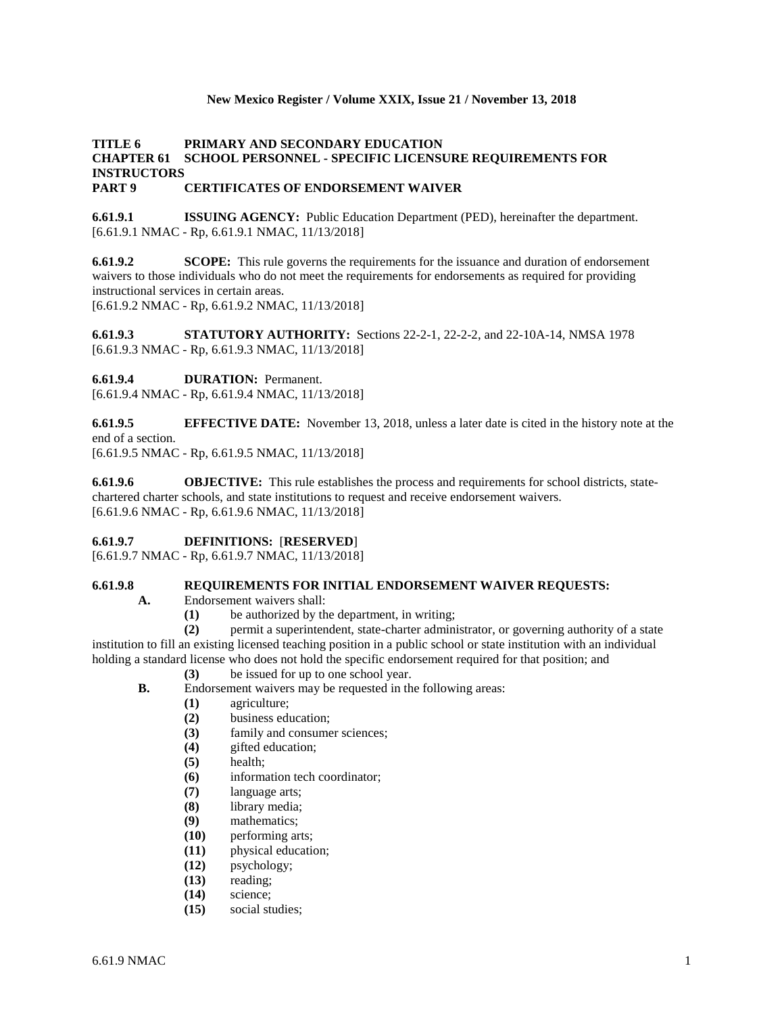### **New Mexico Register / Volume XXIX, Issue 21 / November 13, 2018**

### **TITLE 6 PRIMARY AND SECONDARY EDUCATION CHAPTER 61 SCHOOL PERSONNEL - SPECIFIC LICENSURE REQUIREMENTS FOR INSTRUCTORS CERTIFICATES OF ENDORSEMENT WAIVER**

**6.61.9.1 ISSUING AGENCY:** Public Education Department (PED), hereinafter the department. [6.61.9.1 NMAC - Rp, 6.61.9.1 NMAC, 11/13/2018]

**6.61.9.2 SCOPE:** This rule governs the requirements for the issuance and duration of endorsement waivers to those individuals who do not meet the requirements for endorsements as required for providing instructional services in certain areas.

[6.61.9.2 NMAC - Rp, 6.61.9.2 NMAC, 11/13/2018]

**6.61.9.3 STATUTORY AUTHORITY:** Sections 22-2-1, 22-2-2, and 22-10A-14, NMSA 1978 [6.61.9.3 NMAC - Rp, 6.61.9.3 NMAC, 11/13/2018]

**6.61.9.4 DURATION:** Permanent.

[6.61.9.4 NMAC - Rp, 6.61.9.4 NMAC, 11/13/2018]

**6.61.9.5 EFFECTIVE DATE:** November 13, 2018, unless a later date is cited in the history note at the end of a section.

[6.61.9.5 NMAC - Rp, 6.61.9.5 NMAC, 11/13/2018]

**6.61.9.6 OBJECTIVE:** This rule establishes the process and requirements for school districts, statechartered charter schools, and state institutions to request and receive endorsement waivers. [6.61.9.6 NMAC - Rp, 6.61.9.6 NMAC, 11/13/2018]

#### **6.61.9.7 DEFINITIONS:** [**RESERVED**]

[6.61.9.7 NMAC - Rp, 6.61.9.7 NMAC, 11/13/2018]

## **6.61.9.8 REQUIREMENTS FOR INITIAL ENDORSEMENT WAIVER REQUESTS:** A. Endorsement waivers shall:

- **A.** Endorsement waivers shall:
	- **(1)** be authorized by the department, in writing;

**(2)** permit a superintendent, state-charter administrator, or governing authority of a state institution to fill an existing licensed teaching position in a public school or state institution with an individual holding a standard license who does not hold the specific endorsement required for that position; and

- **(3)** be issued for up to one school year.
- **B.** Endorsement waivers may be requested in the following areas:
	- **(1)** agriculture;
	- **(2)** business education;
	- **(3)** family and consumer sciences;
	- **(4)** gifted education;
	- **(5)** health;
	- **(6)** information tech coordinator;
	- **(7)** language arts;
	- **(8)** library media;
	- **(9)** mathematics;
	- **(10)** performing arts;
	- **(11)** physical education;
	- **(12)** psychology;
	- **(13)** reading;
	- **(14)** science;
	- **(15)** social studies;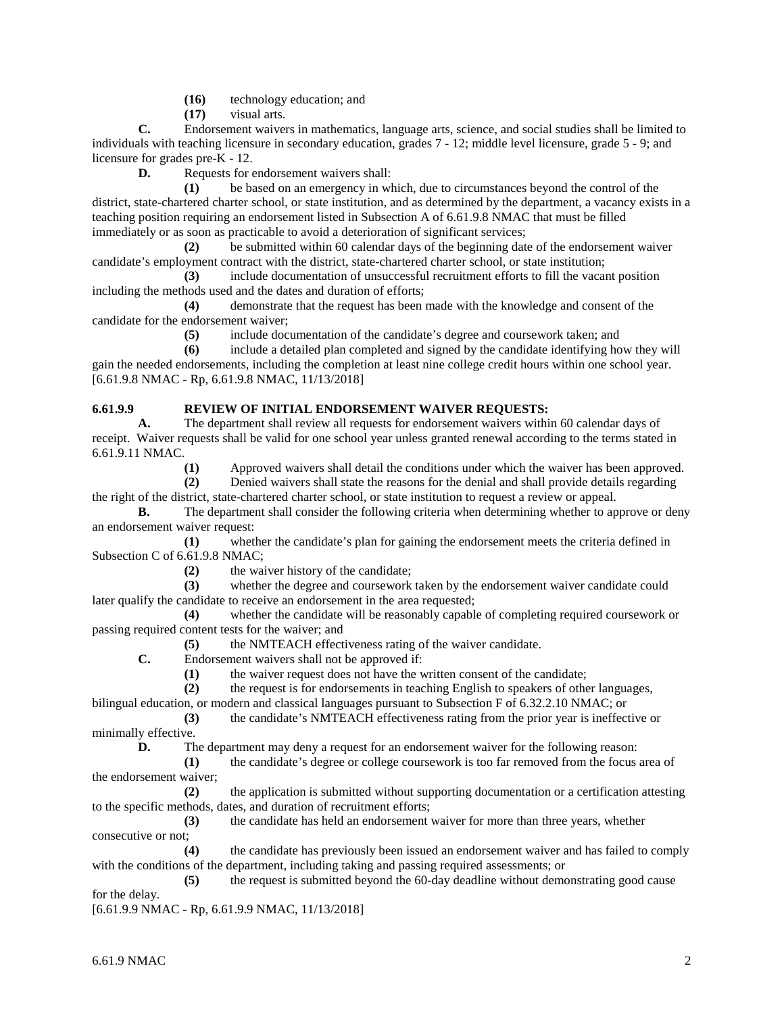- **(16)** technology education; and
- **(17)** visual arts.

**C.** Endorsement waivers in mathematics, language arts, science, and social studies shall be limited to individuals with teaching licensure in secondary education, grades 7 - 12; middle level licensure, grade 5 - 9; and licensure for grades pre-K - 12.

**D.** Requests for endorsement waivers shall:

**(1)** be based on an emergency in which, due to circumstances beyond the control of the district, state-chartered charter school, or state institution, and as determined by the department, a vacancy exists in a teaching position requiring an endorsement listed in Subsection A of 6.61.9.8 NMAC that must be filled immediately or as soon as practicable to avoid a deterioration of significant services;

**(2)** be submitted within 60 calendar days of the beginning date of the endorsement waiver candidate's employment contract with the district, state-chartered charter school, or state institution;

**(3)** include documentation of unsuccessful recruitment efforts to fill the vacant position including the methods used and the dates and duration of efforts;

**(4)** demonstrate that the request has been made with the knowledge and consent of the candidate for the endorsement waiver;

**(5)** include documentation of the candidate's degree and coursework taken; and

**(6)** include a detailed plan completed and signed by the candidate identifying how they will gain the needed endorsements, including the completion at least nine college credit hours within one school year. [6.61.9.8 NMAC - Rp, 6.61.9.8 NMAC, 11/13/2018]

# **6.61.9.9 REVIEW OF INITIAL ENDORSEMENT WAIVER REQUESTS:**<br>**A.** The department shall review all requests for endorsement waivers within

The department shall review all requests for endorsement waivers within 60 calendar days of receipt. Waiver requests shall be valid for one school year unless granted renewal according to the terms stated in 6.61.9.11 NMAC.

**(1)** Approved waivers shall detail the conditions under which the waiver has been approved.

**(2)** Denied waivers shall state the reasons for the denial and shall provide details regarding the right of the district, state-chartered charter school, or state institution to request a review or appeal.

**B.** The department shall consider the following criteria when determining whether to approve or deny an endorsement waiver request:

**(1)** whether the candidate's plan for gaining the endorsement meets the criteria defined in Subsection C of 6.61.9.8 NMAC;

**(2)** the waiver history of the candidate;

**(3)** whether the degree and coursework taken by the endorsement waiver candidate could later qualify the candidate to receive an endorsement in the area requested;

**(4)** whether the candidate will be reasonably capable of completing required coursework or passing required content tests for the waiver; and

**(5)** the NMTEACH effectiveness rating of the waiver candidate.

**C.** Endorsement waivers shall not be approved if:

**(1)** the waiver request does not have the written consent of the candidate;

**(2)** the request is for endorsements in teaching English to speakers of other languages,

bilingual education, or modern and classical languages pursuant to Subsection F of 6.32.2.10 NMAC; or **(3)** the candidate's NMTEACH effectiveness rating from the prior year is ineffective or

minimally effective.

**D.** The department may deny a request for an endorsement waiver for the following reason:

**(1)** the candidate's degree or college coursework is too far removed from the focus area of the endorsement waiver;

**(2)** the application is submitted without supporting documentation or a certification attesting to the specific methods, dates, and duration of recruitment efforts;

**(3)** the candidate has held an endorsement waiver for more than three years, whether consecutive or not;

**(4)** the candidate has previously been issued an endorsement waiver and has failed to comply with the conditions of the department, including taking and passing required assessments; or

**(5)** the request is submitted beyond the 60-day deadline without demonstrating good cause for the delay.

[6.61.9.9 NMAC - Rp, 6.61.9.9 NMAC, 11/13/2018]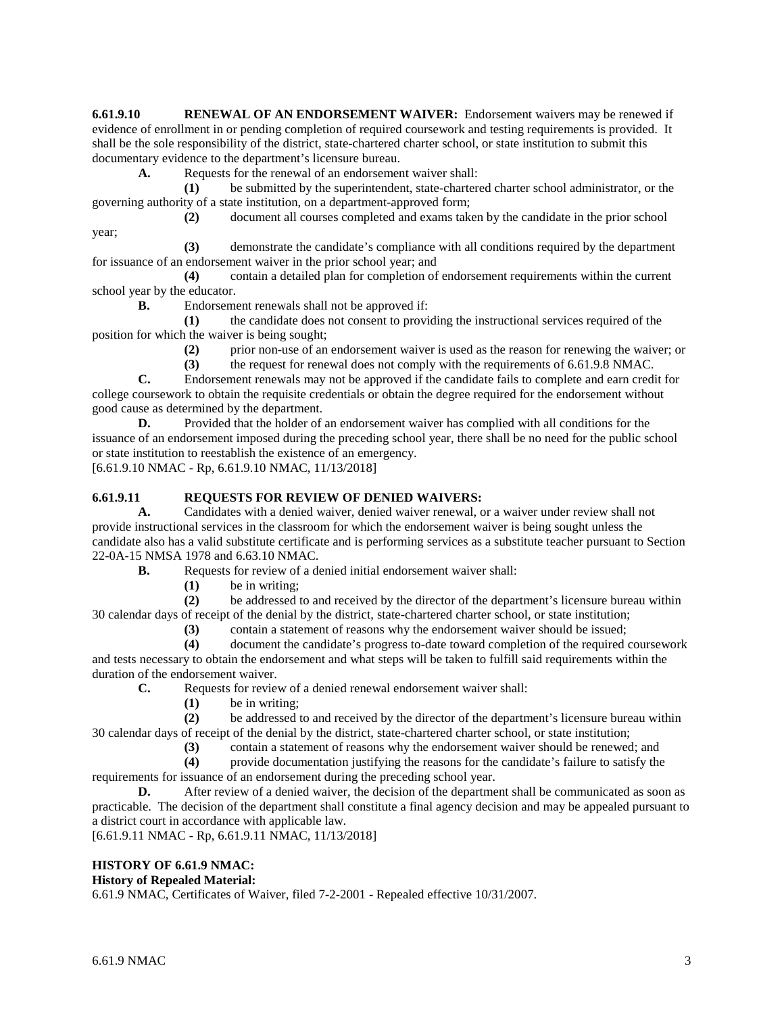**6.61.9.10 RENEWAL OF AN ENDORSEMENT WAIVER:** Endorsement waivers may be renewed if evidence of enrollment in or pending completion of required coursework and testing requirements is provided. It shall be the sole responsibility of the district, state-chartered charter school, or state institution to submit this documentary evidence to the department's licensure bureau.

**A.** Requests for the renewal of an endorsement waiver shall:

**(1)** be submitted by the superintendent, state-chartered charter school administrator, or the governing authority of a state institution, on a department-approved form;

**(2)** document all courses completed and exams taken by the candidate in the prior school

**(3)** demonstrate the candidate's compliance with all conditions required by the department for issuance of an endorsement waiver in the prior school year; and

**(4)** contain a detailed plan for completion of endorsement requirements within the current school year by the educator.

**B.** Endorsement renewals shall not be approved if:

**(1)** the candidate does not consent to providing the instructional services required of the position for which the waiver is being sought;

**(2)** prior non-use of an endorsement waiver is used as the reason for renewing the waiver; or

**(3)** the request for renewal does not comply with the requirements of 6.61.9.8 NMAC.

**C.** Endorsement renewals may not be approved if the candidate fails to complete and earn credit for college coursework to obtain the requisite credentials or obtain the degree required for the endorsement without good cause as determined by the department.

**D.** Provided that the holder of an endorsement waiver has complied with all conditions for the issuance of an endorsement imposed during the preceding school year, there shall be no need for the public school or state institution to reestablish the existence of an emergency.

[6.61.9.10 NMAC - Rp, 6.61.9.10 NMAC, 11/13/2018]

### **6.61.9.11 REQUESTS FOR REVIEW OF DENIED WAIVERS:**

**A.** Candidates with a denied waiver, denied waiver renewal, or a waiver under review shall not provide instructional services in the classroom for which the endorsement waiver is being sought unless the candidate also has a valid substitute certificate and is performing services as a substitute teacher pursuant to Section 22-0A-15 NMSA 1978 and 6.63.10 NMAC.

- **B.** Requests for review of a denied initial endorsement waiver shall:
	- **(1)** be in writing;

**(2)** be addressed to and received by the director of the department's licensure bureau within 30 calendar days of receipt of the denial by the district, state-chartered charter school, or state institution;

**(3)** contain a statement of reasons why the endorsement waiver should be issued;

**(4)** document the candidate's progress to-date toward completion of the required coursework and tests necessary to obtain the endorsement and what steps will be taken to fulfill said requirements within the duration of the endorsement waiver.

**C.** Requests for review of a denied renewal endorsement waiver shall:

**(1)** be in writing;

**(2)** be addressed to and received by the director of the department's licensure bureau within 30 calendar days of receipt of the denial by the district, state-chartered charter school, or state institution;

**(3)** contain a statement of reasons why the endorsement waiver should be renewed; and

**(4)** provide documentation justifying the reasons for the candidate's failure to satisfy the

requirements for issuance of an endorsement during the preceding school year.

**D.** After review of a denied waiver, the decision of the department shall be communicated as soon as practicable. The decision of the department shall constitute a final agency decision and may be appealed pursuant to a district court in accordance with applicable law.

[6.61.9.11 NMAC - Rp, 6.61.9.11 NMAC, 11/13/2018]

## **HISTORY OF 6.61.9 NMAC:**

## **History of Repealed Material:**

6.61.9 NMAC, Certificates of Waiver, filed 7-2-2001 - Repealed effective 10/31/2007.

year;